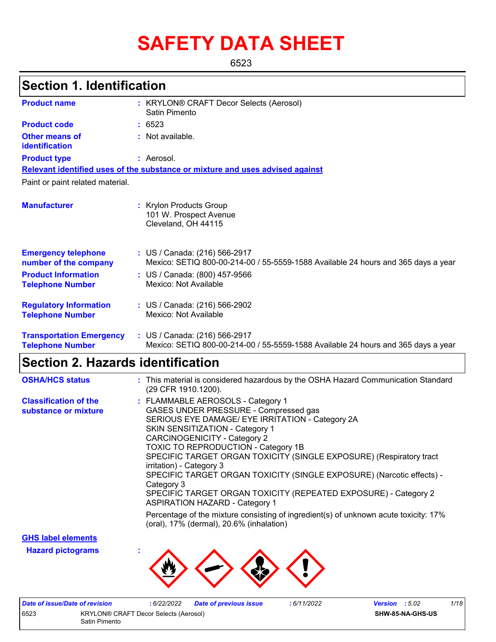# **SAFETY DATA SHEET**

6523

### **Section 1. Identification**

| <b>Product name</b>                                        | : KRYLON® CRAFT Decor Selects (Aerosol)<br>Satin Pimento                                                           |
|------------------------------------------------------------|--------------------------------------------------------------------------------------------------------------------|
| <b>Product code</b>                                        | : 6523                                                                                                             |
| <b>Other means of</b><br>identification                    | : Not available.                                                                                                   |
| <b>Product type</b>                                        | : Aerosol.                                                                                                         |
|                                                            | Relevant identified uses of the substance or mixture and uses advised against                                      |
| Paint or paint related material.                           |                                                                                                                    |
| <b>Manufacturer</b>                                        | : Krylon Products Group<br>101 W. Prospect Avenue<br>Cleveland, OH 44115                                           |
| <b>Emergency telephone</b><br>number of the company        | : US / Canada: (216) 566-2917<br>Mexico: SETIQ 800-00-214-00 / 55-5559-1588 Available 24 hours and 365 days a year |
| <b>Product Information</b><br><b>Telephone Number</b>      | : US / Canada: (800) 457-9566<br>Mexico: Not Available                                                             |
| <b>Regulatory Information</b><br><b>Telephone Number</b>   | : US / Canada: (216) 566-2902<br>Mexico: Not Available                                                             |
| <b>Transportation Emergency</b><br><b>Telephone Number</b> | : US / Canada: (216) 566-2917<br>Mexico: SETIQ 800-00-214-00 / 55-5559-1588 Available 24 hours and 365 days a year |

### **Section 2. Hazards identification**

| <b>OSHA/HCS status</b>                               | : This material is considered hazardous by the OSHA Hazard Communication Standard<br>(29 CFR 1910.1200).                                                                                                                                                                                                                                                                                                                                                                                                                                                     |
|------------------------------------------------------|--------------------------------------------------------------------------------------------------------------------------------------------------------------------------------------------------------------------------------------------------------------------------------------------------------------------------------------------------------------------------------------------------------------------------------------------------------------------------------------------------------------------------------------------------------------|
| <b>Classification of the</b><br>substance or mixture | : FLAMMABLE AEROSOLS - Category 1<br>GASES UNDER PRESSURE - Compressed gas<br>SERIOUS EYE DAMAGE/ EYE IRRITATION - Category 2A<br>SKIN SENSITIZATION - Category 1<br><b>CARCINOGENICITY - Category 2</b><br><b>TOXIC TO REPRODUCTION - Category 1B</b><br>SPECIFIC TARGET ORGAN TOXICITY (SINGLE EXPOSURE) (Respiratory tract<br>irritation) - Category 3<br>SPECIFIC TARGET ORGAN TOXICITY (SINGLE EXPOSURE) (Narcotic effects) -<br>Category 3<br>SPECIFIC TARGET ORGAN TOXICITY (REPEATED EXPOSURE) - Category 2<br><b>ASPIRATION HAZARD - Category 1</b> |
|                                                      | Percentage of the mixture consisting of ingredient(s) of unknown acute toxicity: 17%<br>(oral), 17% (dermal), 20.6% (inhalation)                                                                                                                                                                                                                                                                                                                                                                                                                             |

**GHS label elements**

**Hazard pictograms :**



| Date of issue/Date of revision |                                       | : 6/22/2022 Date of previous issue | : 6/11/2022 | <b>Version</b> : $5.02$ |                         | 1/18 |
|--------------------------------|---------------------------------------|------------------------------------|-------------|-------------------------|-------------------------|------|
| 6523                           | KRYLON® CRAFT Decor Selects (Aerosol) |                                    |             |                         | <b>SHW-85-NA-GHS-US</b> |      |
|                                | Satin Pimento                         |                                    |             |                         |                         |      |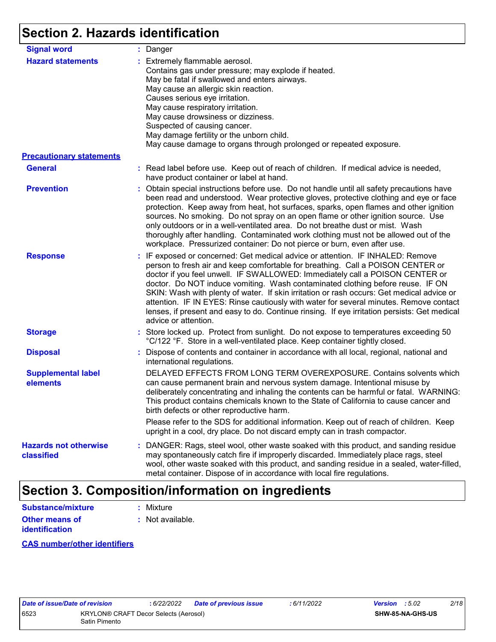### **Section 2. Hazards identification**

| <b>Signal word</b>                         | : Danger                                                                                                                                                                                                                                                                                                                                                                                                                                                                                                                                                                                                                                           |
|--------------------------------------------|----------------------------------------------------------------------------------------------------------------------------------------------------------------------------------------------------------------------------------------------------------------------------------------------------------------------------------------------------------------------------------------------------------------------------------------------------------------------------------------------------------------------------------------------------------------------------------------------------------------------------------------------------|
| <b>Hazard statements</b>                   | : Extremely flammable aerosol.<br>Contains gas under pressure; may explode if heated.<br>May be fatal if swallowed and enters airways.<br>May cause an allergic skin reaction.<br>Causes serious eye irritation.<br>May cause respiratory irritation.<br>May cause drowsiness or dizziness.<br>Suspected of causing cancer.<br>May damage fertility or the unborn child.<br>May cause damage to organs through prolonged or repeated exposure.                                                                                                                                                                                                     |
| <b>Precautionary statements</b>            |                                                                                                                                                                                                                                                                                                                                                                                                                                                                                                                                                                                                                                                    |
| <b>General</b>                             | : Read label before use. Keep out of reach of children. If medical advice is needed,<br>have product container or label at hand.                                                                                                                                                                                                                                                                                                                                                                                                                                                                                                                   |
| <b>Prevention</b>                          | : Obtain special instructions before use. Do not handle until all safety precautions have<br>been read and understood. Wear protective gloves, protective clothing and eye or face<br>protection. Keep away from heat, hot surfaces, sparks, open flames and other ignition<br>sources. No smoking. Do not spray on an open flame or other ignition source. Use<br>only outdoors or in a well-ventilated area. Do not breathe dust or mist. Wash<br>thoroughly after handling. Contaminated work clothing must not be allowed out of the<br>workplace. Pressurized container: Do not pierce or burn, even after use.                               |
| <b>Response</b>                            | : IF exposed or concerned: Get medical advice or attention. IF INHALED: Remove<br>person to fresh air and keep comfortable for breathing. Call a POISON CENTER or<br>doctor if you feel unwell. IF SWALLOWED: Immediately call a POISON CENTER or<br>doctor. Do NOT induce vomiting. Wash contaminated clothing before reuse. IF ON<br>SKIN: Wash with plenty of water. If skin irritation or rash occurs: Get medical advice or<br>attention. IF IN EYES: Rinse cautiously with water for several minutes. Remove contact<br>lenses, if present and easy to do. Continue rinsing. If eye irritation persists: Get medical<br>advice or attention. |
| <b>Storage</b>                             | : Store locked up. Protect from sunlight. Do not expose to temperatures exceeding 50<br>°C/122 °F. Store in a well-ventilated place. Keep container tightly closed.                                                                                                                                                                                                                                                                                                                                                                                                                                                                                |
| <b>Disposal</b>                            | : Dispose of contents and container in accordance with all local, regional, national and<br>international regulations.                                                                                                                                                                                                                                                                                                                                                                                                                                                                                                                             |
| <b>Supplemental label</b><br>elements      | DELAYED EFFECTS FROM LONG TERM OVEREXPOSURE. Contains solvents which<br>can cause permanent brain and nervous system damage. Intentional misuse by<br>deliberately concentrating and inhaling the contents can be harmful or fatal. WARNING:<br>This product contains chemicals known to the State of California to cause cancer and<br>birth defects or other reproductive harm.                                                                                                                                                                                                                                                                  |
|                                            | Please refer to the SDS for additional information. Keep out of reach of children. Keep<br>upright in a cool, dry place. Do not discard empty can in trash compactor.                                                                                                                                                                                                                                                                                                                                                                                                                                                                              |
| <b>Hazards not otherwise</b><br>classified | : DANGER: Rags, steel wool, other waste soaked with this product, and sanding residue<br>may spontaneously catch fire if improperly discarded. Immediately place rags, steel<br>wool, other waste soaked with this product, and sanding residue in a sealed, water-filled,<br>metal container. Dispose of in accordance with local fire regulations.                                                                                                                                                                                                                                                                                               |

### **Section 3. Composition/information on ingredients**

| Substance/mixture     | : Mixture        |
|-----------------------|------------------|
| <b>Other means of</b> | : Not available. |
| <b>identification</b> |                  |

#### **CAS number/other identifiers**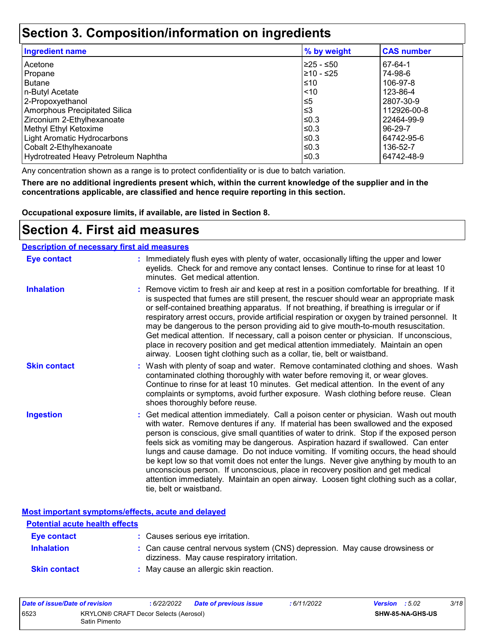### **Section 3. Composition/information on ingredients**

| <b>Ingredient name</b>               | % by weight | <b>CAS number</b> |
|--------------------------------------|-------------|-------------------|
| Acetone                              | 225 - ≤50   | 67-64-1           |
| Propane                              | l≥10 - ≤25  | 74-98-6           |
| <b>Butane</b>                        | ≤10         | 106-97-8          |
| n-Butyl Acetate                      | $ $ < 10    | 123-86-4          |
| 2-Propoxyethanol                     | !≤5         | 2807-30-9         |
| <b>Amorphous Precipitated Silica</b> | ՝≤3         | 112926-00-8       |
| Zirconium 2-Ethylhexanoate           | l≤0.3       | 22464-99-9        |
| Methyl Ethyl Ketoxime                | l≤0.3       | 96-29-7           |
| Light Aromatic Hydrocarbons          | l≤0.3       | 64742-95-6        |
| Cobalt 2-Ethylhexanoate              | ≤0.3        | 136-52-7          |
| Hydrotreated Heavy Petroleum Naphtha | l≤0.3       | 64742-48-9        |

Any concentration shown as a range is to protect confidentiality or is due to batch variation.

**There are no additional ingredients present which, within the current knowledge of the supplier and in the concentrations applicable, are classified and hence require reporting in this section.**

**Occupational exposure limits, if available, are listed in Section 8.**

### **Section 4. First aid measures**

#### **Description of necessary first aid measures**

| <b>Eye contact</b>  | : Immediately flush eyes with plenty of water, occasionally lifting the upper and lower<br>eyelids. Check for and remove any contact lenses. Continue to rinse for at least 10<br>minutes. Get medical attention.                                                                                                                                                                                                                                                                                                                                                                                                                                                                                                                                       |
|---------------------|---------------------------------------------------------------------------------------------------------------------------------------------------------------------------------------------------------------------------------------------------------------------------------------------------------------------------------------------------------------------------------------------------------------------------------------------------------------------------------------------------------------------------------------------------------------------------------------------------------------------------------------------------------------------------------------------------------------------------------------------------------|
| <b>Inhalation</b>   | : Remove victim to fresh air and keep at rest in a position comfortable for breathing. If it<br>is suspected that fumes are still present, the rescuer should wear an appropriate mask<br>or self-contained breathing apparatus. If not breathing, if breathing is irregular or if<br>respiratory arrest occurs, provide artificial respiration or oxygen by trained personnel. It<br>may be dangerous to the person providing aid to give mouth-to-mouth resuscitation.<br>Get medical attention. If necessary, call a poison center or physician. If unconscious,<br>place in recovery position and get medical attention immediately. Maintain an open<br>airway. Loosen tight clothing such as a collar, tie, belt or waistband.                    |
| <b>Skin contact</b> | : Wash with plenty of soap and water. Remove contaminated clothing and shoes. Wash<br>contaminated clothing thoroughly with water before removing it, or wear gloves.<br>Continue to rinse for at least 10 minutes. Get medical attention. In the event of any<br>complaints or symptoms, avoid further exposure. Wash clothing before reuse. Clean<br>shoes thoroughly before reuse.                                                                                                                                                                                                                                                                                                                                                                   |
| <b>Ingestion</b>    | : Get medical attention immediately. Call a poison center or physician. Wash out mouth<br>with water. Remove dentures if any. If material has been swallowed and the exposed<br>person is conscious, give small quantities of water to drink. Stop if the exposed person<br>feels sick as vomiting may be dangerous. Aspiration hazard if swallowed. Can enter<br>lungs and cause damage. Do not induce vomiting. If vomiting occurs, the head should<br>be kept low so that vomit does not enter the lungs. Never give anything by mouth to an<br>unconscious person. If unconscious, place in recovery position and get medical<br>attention immediately. Maintain an open airway. Loosen tight clothing such as a collar,<br>tie, belt or waistband. |

**Most important symptoms/effects, acute and delayed**

| <b>Potential acute health effects</b> |                                                                                                                              |
|---------------------------------------|------------------------------------------------------------------------------------------------------------------------------|
| Eye contact                           | : Causes serious eye irritation.                                                                                             |
| <b>Inhalation</b>                     | : Can cause central nervous system (CNS) depression. May cause drowsiness or<br>dizziness. May cause respiratory irritation. |
| <b>Skin contact</b>                   | : May cause an allergic skin reaction.                                                                                       |

| Date of issue/Date of revision |                                                        | 6/22/2022 | <b>Date of previous issue</b> | : 6/11/2022 | <b>Version</b> : $5.02$ |                         | 3/18 |
|--------------------------------|--------------------------------------------------------|-----------|-------------------------------|-------------|-------------------------|-------------------------|------|
| 6523                           | KRYLON® CRAFT Decor Selects (Aerosol)<br>Satin Pimento |           |                               |             |                         | <b>SHW-85-NA-GHS-US</b> |      |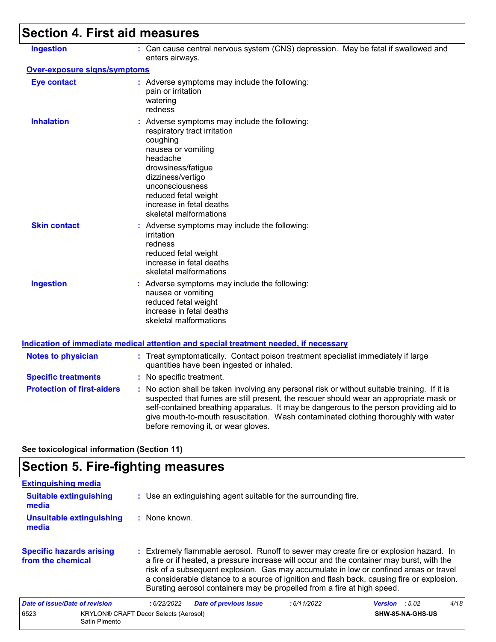## **Section 4. First aid measures**

| <b>Ingestion</b>                    | : Can cause central nervous system (CNS) depression. May be fatal if swallowed and<br>enters airways.                                                                                                                                                                                                                                                                                                           |
|-------------------------------------|-----------------------------------------------------------------------------------------------------------------------------------------------------------------------------------------------------------------------------------------------------------------------------------------------------------------------------------------------------------------------------------------------------------------|
| <b>Over-exposure signs/symptoms</b> |                                                                                                                                                                                                                                                                                                                                                                                                                 |
| <b>Eye contact</b>                  | : Adverse symptoms may include the following:<br>pain or irritation<br>watering<br>redness                                                                                                                                                                                                                                                                                                                      |
| <b>Inhalation</b>                   | : Adverse symptoms may include the following:<br>respiratory tract irritation<br>coughing<br>nausea or vomiting<br>headache<br>drowsiness/fatigue<br>dizziness/vertigo<br>unconsciousness<br>reduced fetal weight<br>increase in fetal deaths<br>skeletal malformations                                                                                                                                         |
| <b>Skin contact</b>                 | : Adverse symptoms may include the following:<br>irritation<br>redness<br>reduced fetal weight<br>increase in fetal deaths<br>skeletal malformations                                                                                                                                                                                                                                                            |
| <b>Ingestion</b>                    | : Adverse symptoms may include the following:<br>nausea or vomiting<br>reduced fetal weight<br>increase in fetal deaths<br>skeletal malformations                                                                                                                                                                                                                                                               |
|                                     | <b>Indication of immediate medical attention and special treatment needed, if necessary</b>                                                                                                                                                                                                                                                                                                                     |
| <b>Notes to physician</b>           | : Treat symptomatically. Contact poison treatment specialist immediately if large<br>quantities have been ingested or inhaled.                                                                                                                                                                                                                                                                                  |
| <b>Specific treatments</b>          | : No specific treatment.                                                                                                                                                                                                                                                                                                                                                                                        |
| <b>Protection of first-aiders</b>   | : No action shall be taken involving any personal risk or without suitable training. If it is<br>suspected that fumes are still present, the rescuer should wear an appropriate mask or<br>self-contained breathing apparatus. It may be dangerous to the person providing aid to<br>give mouth-to-mouth resuscitation. Wash contaminated clothing thoroughly with water<br>before removing it, or wear gloves. |

**See toxicological information (Section 11)**

### **Section 5. Fire-fighting measures**

| <b>Extinguishing media</b>                           |                                                                                                                                                                                                                                                                                                                                                                                                                                                       |                         |      |
|------------------------------------------------------|-------------------------------------------------------------------------------------------------------------------------------------------------------------------------------------------------------------------------------------------------------------------------------------------------------------------------------------------------------------------------------------------------------------------------------------------------------|-------------------------|------|
| <b>Suitable extinguishing</b><br>media               | : Use an extinguishing agent suitable for the surrounding fire.                                                                                                                                                                                                                                                                                                                                                                                       |                         |      |
| <b>Unsuitable extinguishing</b><br>media             | : None known.                                                                                                                                                                                                                                                                                                                                                                                                                                         |                         |      |
| <b>Specific hazards arising</b><br>from the chemical | : Extremely flammable aerosol. Runoff to sewer may create fire or explosion hazard. In<br>a fire or if heated, a pressure increase will occur and the container may burst, with the<br>risk of a subsequent explosion. Gas may accumulate in low or confined areas or travel<br>a considerable distance to a source of ignition and flash back, causing fire or explosion.<br>Bursting aerosol containers may be propelled from a fire at high speed. |                         |      |
| Date of issue/Date of revision                       | <b>Date of previous issue</b><br>:6/22/2022<br>:6/11/2022                                                                                                                                                                                                                                                                                                                                                                                             | <b>Version</b> : $5.02$ | 4/18 |
| 6523<br>Satin Pimento                                | <b>KRYLON® CRAFT Decor Selects (Aerosol)</b>                                                                                                                                                                                                                                                                                                                                                                                                          | SHW-85-NA-GHS-US        |      |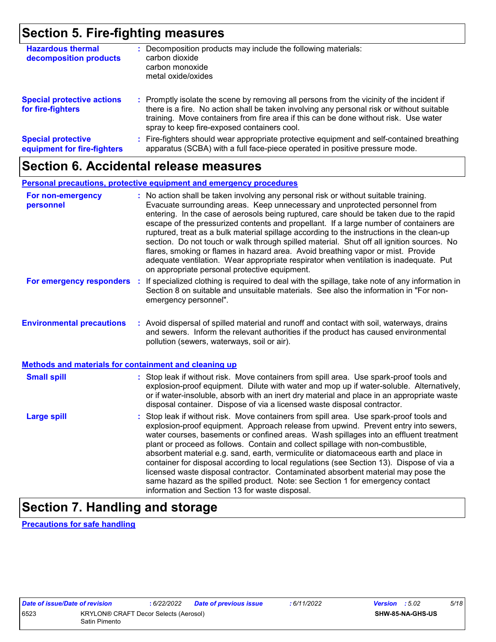### **Section 5. Fire-fighting measures**

| <b>Hazardous thermal</b><br>decomposition products       | Decomposition products may include the following materials:<br>carbon dioxide<br>carbon monoxide<br>metal oxide/oxides                                                                                                                                                                                                        |
|----------------------------------------------------------|-------------------------------------------------------------------------------------------------------------------------------------------------------------------------------------------------------------------------------------------------------------------------------------------------------------------------------|
| <b>Special protective actions</b><br>for fire-fighters   | : Promptly isolate the scene by removing all persons from the vicinity of the incident if<br>there is a fire. No action shall be taken involving any personal risk or without suitable<br>training. Move containers from fire area if this can be done without risk. Use water<br>spray to keep fire-exposed containers cool. |
| <b>Special protective</b><br>equipment for fire-fighters | Fire-fighters should wear appropriate protective equipment and self-contained breathing<br>apparatus (SCBA) with a full face-piece operated in positive pressure mode.                                                                                                                                                        |

### **Section 6. Accidental release measures**

#### **Personal precautions, protective equipment and emergency procedures**

| For non-emergency<br>personnel                        | : No action shall be taken involving any personal risk or without suitable training.<br>Evacuate surrounding areas. Keep unnecessary and unprotected personnel from<br>entering. In the case of aerosols being ruptured, care should be taken due to the rapid<br>escape of the pressurized contents and propellant. If a large number of containers are<br>ruptured, treat as a bulk material spillage according to the instructions in the clean-up<br>section. Do not touch or walk through spilled material. Shut off all ignition sources. No<br>flares, smoking or flames in hazard area. Avoid breathing vapor or mist. Provide<br>adequate ventilation. Wear appropriate respirator when ventilation is inadequate. Put<br>on appropriate personal protective equipment. |  |  |  |
|-------------------------------------------------------|----------------------------------------------------------------------------------------------------------------------------------------------------------------------------------------------------------------------------------------------------------------------------------------------------------------------------------------------------------------------------------------------------------------------------------------------------------------------------------------------------------------------------------------------------------------------------------------------------------------------------------------------------------------------------------------------------------------------------------------------------------------------------------|--|--|--|
| For emergency responders                              | : If specialized clothing is required to deal with the spillage, take note of any information in<br>Section 8 on suitable and unsuitable materials. See also the information in "For non-<br>emergency personnel".                                                                                                                                                                                                                                                                                                                                                                                                                                                                                                                                                               |  |  |  |
| <b>Environmental precautions</b>                      | : Avoid dispersal of spilled material and runoff and contact with soil, waterways, drains<br>and sewers. Inform the relevant authorities if the product has caused environmental<br>pollution (sewers, waterways, soil or air).                                                                                                                                                                                                                                                                                                                                                                                                                                                                                                                                                  |  |  |  |
| Methods and materials for containment and cleaning up |                                                                                                                                                                                                                                                                                                                                                                                                                                                                                                                                                                                                                                                                                                                                                                                  |  |  |  |
| <b>Small spill</b>                                    | : Stop leak if without risk. Move containers from spill area. Use spark-proof tools and<br>explosion-proof equipment. Dilute with water and mop up if water-soluble. Alternatively,<br>or if water-insoluble, absorb with an inert dry material and place in an appropriate waste<br>disposal container. Dispose of via a licensed waste disposal contractor.                                                                                                                                                                                                                                                                                                                                                                                                                    |  |  |  |
| <b>Large spill</b>                                    | : Stop leak if without risk. Move containers from spill area. Use spark-proof tools and<br>explosion-proof equipment. Approach release from upwind. Prevent entry into sewers,<br>water courses, basements or confined areas. Wash spillages into an effluent treatment<br>plant or proceed as follows. Contain and collect spillage with non-combustible,<br>absorbent material e.g. sand, earth, vermiculite or diatomaceous earth and place in<br>container for disposal according to local regulations (see Section 13). Dispose of via a<br>licensed waste disposal contractor. Contaminated absorbent material may pose the<br>same hazard as the spilled product. Note: see Section 1 for emergency contact<br>information and Section 13 for waste disposal.             |  |  |  |

### **Section 7. Handling and storage**

**Precautions for safe handling**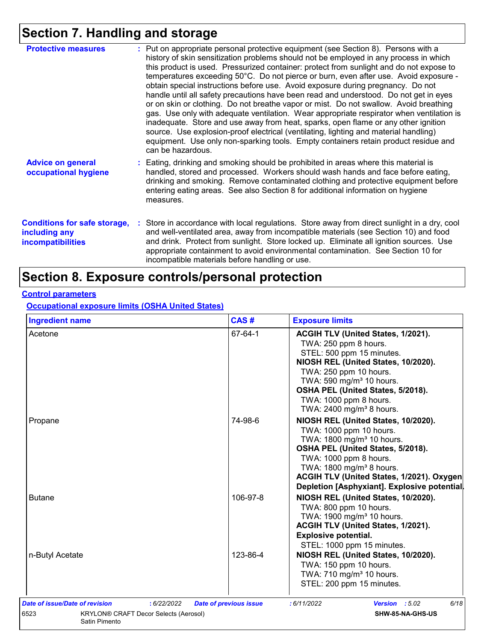## **Section 7. Handling and storage**

| <b>Protective measures</b>                                                       | : Put on appropriate personal protective equipment (see Section 8). Persons with a<br>history of skin sensitization problems should not be employed in any process in which<br>this product is used. Pressurized container: protect from sunlight and do not expose to<br>temperatures exceeding 50°C. Do not pierce or burn, even after use. Avoid exposure -<br>obtain special instructions before use. Avoid exposure during pregnancy. Do not<br>handle until all safety precautions have been read and understood. Do not get in eyes<br>or on skin or clothing. Do not breathe vapor or mist. Do not swallow. Avoid breathing<br>gas. Use only with adequate ventilation. Wear appropriate respirator when ventilation is<br>inadequate. Store and use away from heat, sparks, open flame or any other ignition<br>source. Use explosion-proof electrical (ventilating, lighting and material handling)<br>equipment. Use only non-sparking tools. Empty containers retain product residue and<br>can be hazardous. |
|----------------------------------------------------------------------------------|---------------------------------------------------------------------------------------------------------------------------------------------------------------------------------------------------------------------------------------------------------------------------------------------------------------------------------------------------------------------------------------------------------------------------------------------------------------------------------------------------------------------------------------------------------------------------------------------------------------------------------------------------------------------------------------------------------------------------------------------------------------------------------------------------------------------------------------------------------------------------------------------------------------------------------------------------------------------------------------------------------------------------|
| <b>Advice on general</b><br>occupational hygiene                                 | : Eating, drinking and smoking should be prohibited in areas where this material is<br>handled, stored and processed. Workers should wash hands and face before eating,<br>drinking and smoking. Remove contaminated clothing and protective equipment before<br>entering eating areas. See also Section 8 for additional information on hygiene<br>measures.                                                                                                                                                                                                                                                                                                                                                                                                                                                                                                                                                                                                                                                             |
| <b>Conditions for safe storage,</b><br>including any<br><b>incompatibilities</b> | : Store in accordance with local regulations. Store away from direct sunlight in a dry, cool<br>and well-ventilated area, away from incompatible materials (see Section 10) and food<br>and drink. Protect from sunlight. Store locked up. Eliminate all ignition sources. Use<br>appropriate containment to avoid environmental contamination. See Section 10 for<br>incompatible materials before handling or use.                                                                                                                                                                                                                                                                                                                                                                                                                                                                                                                                                                                                      |

### **Section 8. Exposure controls/personal protection**

#### **Control parameters**

**Occupational exposure limits (OSHA United States)**

| <b>Ingredient name</b>                               | CAS#                          | <b>Exposure limits</b>                       |  |  |
|------------------------------------------------------|-------------------------------|----------------------------------------------|--|--|
| Acetone                                              | 67-64-1                       | ACGIH TLV (United States, 1/2021).           |  |  |
|                                                      |                               | TWA: 250 ppm 8 hours.                        |  |  |
|                                                      |                               | STEL: 500 ppm 15 minutes.                    |  |  |
|                                                      |                               | NIOSH REL (United States, 10/2020).          |  |  |
|                                                      |                               | TWA: 250 ppm 10 hours.                       |  |  |
|                                                      |                               | TWA: 590 mg/m <sup>3</sup> 10 hours.         |  |  |
|                                                      |                               | OSHA PEL (United States, 5/2018).            |  |  |
|                                                      |                               | TWA: 1000 ppm 8 hours.                       |  |  |
|                                                      |                               | TWA: 2400 mg/m <sup>3</sup> 8 hours.         |  |  |
| Propane                                              | 74-98-6                       | NIOSH REL (United States, 10/2020).          |  |  |
|                                                      |                               | TWA: 1000 ppm 10 hours.                      |  |  |
|                                                      |                               | TWA: 1800 mg/m <sup>3</sup> 10 hours.        |  |  |
|                                                      |                               | OSHA PEL (United States, 5/2018).            |  |  |
|                                                      |                               | TWA: 1000 ppm 8 hours.                       |  |  |
|                                                      |                               | TWA: 1800 mg/m <sup>3</sup> 8 hours.         |  |  |
|                                                      |                               | ACGIH TLV (United States, 1/2021). Oxygen    |  |  |
|                                                      |                               | Depletion [Asphyxiant]. Explosive potential. |  |  |
| <b>Butane</b>                                        | 106-97-8                      | NIOSH REL (United States, 10/2020).          |  |  |
|                                                      |                               | TWA: 800 ppm 10 hours.                       |  |  |
|                                                      |                               | TWA: 1900 mg/m <sup>3</sup> 10 hours.        |  |  |
|                                                      |                               | ACGIH TLV (United States, 1/2021).           |  |  |
|                                                      |                               | <b>Explosive potential.</b>                  |  |  |
|                                                      |                               | STEL: 1000 ppm 15 minutes.                   |  |  |
| n-Butyl Acetate                                      | 123-86-4                      | NIOSH REL (United States, 10/2020).          |  |  |
|                                                      |                               | TWA: 150 ppm 10 hours.                       |  |  |
|                                                      |                               | TWA: 710 mg/m <sup>3</sup> 10 hours.         |  |  |
|                                                      |                               | STEL: 200 ppm 15 minutes.                    |  |  |
|                                                      |                               |                                              |  |  |
| Date of issue/Date of revision<br>: 6/22/2022        | <b>Date of previous issue</b> | Version : 5.02<br>6/18<br>:6/11/2022         |  |  |
| 6523<br><b>KRYLON® CRAFT Decor Selects (Aerosol)</b> |                               | SHW-85-NA-GHS-US                             |  |  |
| Satin Pimento                                        |                               |                                              |  |  |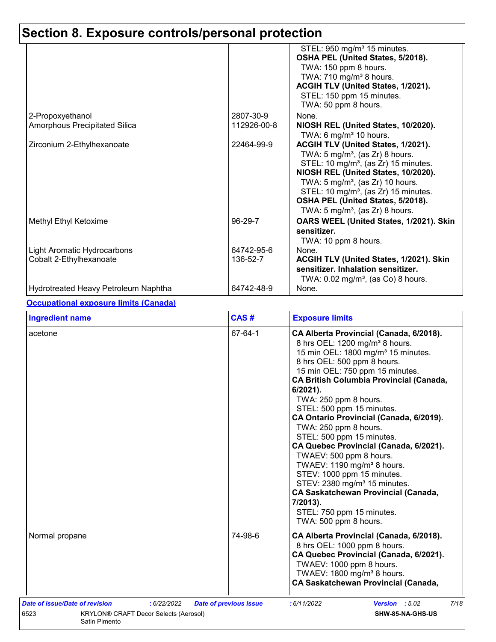|                                      |             | STEL: 950 mg/m <sup>3</sup> 15 minutes.                    |
|--------------------------------------|-------------|------------------------------------------------------------|
|                                      |             | OSHA PEL (United States, 5/2018).<br>TWA: 150 ppm 8 hours. |
|                                      |             | TWA: 710 mg/m <sup>3</sup> 8 hours.                        |
|                                      |             | ACGIH TLV (United States, 1/2021).                         |
|                                      |             | STEL: 150 ppm 15 minutes.                                  |
|                                      |             | TWA: 50 ppm 8 hours.                                       |
| 2-Propoxyethanol                     | 2807-30-9   | None.                                                      |
| Amorphous Precipitated Silica        | 112926-00-8 | NIOSH REL (United States, 10/2020).                        |
|                                      |             | TWA: 6 mg/m <sup>3</sup> 10 hours.                         |
| Zirconium 2-Ethylhexanoate           | 22464-99-9  | ACGIH TLV (United States, 1/2021).                         |
|                                      |             | TWA: $5 \text{ mg/m}^3$ , (as Zr) 8 hours.                 |
|                                      |             | STEL: 10 mg/m <sup>3</sup> , (as Zr) 15 minutes.           |
|                                      |             | NIOSH REL (United States, 10/2020).                        |
|                                      |             | TWA: 5 mg/m <sup>3</sup> , (as Zr) 10 hours.               |
|                                      |             | STEL: 10 mg/m <sup>3</sup> , (as Zr) 15 minutes.           |
|                                      |             | OSHA PEL (United States, 5/2018).                          |
|                                      |             | TWA: 5 mg/m <sup>3</sup> , (as Zr) 8 hours.                |
| Methyl Ethyl Ketoxime                | 96-29-7     | OARS WEEL (United States, 1/2021). Skin                    |
|                                      |             | sensitizer.                                                |
|                                      |             | TWA: 10 ppm 8 hours.                                       |
| Light Aromatic Hydrocarbons          | 64742-95-6  | None.                                                      |
| Cobalt 2-Ethylhexanoate              | 136-52-7    | ACGIH TLV (United States, 1/2021). Skin                    |
|                                      |             | sensitizer. Inhalation sensitizer.                         |
|                                      |             | TWA: $0.02$ mg/m <sup>3</sup> , (as Co) 8 hours.           |
| Hydrotreated Heavy Petroleum Naphtha | 64742-48-9  | None.                                                      |

#### **Occupational exposure limits (Canada)**

| <b>Ingredient name</b>                                                                                                 | CAS#                          | <b>Exposure limits</b>                                                                                                                                                                                                                                                                                                                                                                                                                                                                                                                                                                                                                                                                                                                  |
|------------------------------------------------------------------------------------------------------------------------|-------------------------------|-----------------------------------------------------------------------------------------------------------------------------------------------------------------------------------------------------------------------------------------------------------------------------------------------------------------------------------------------------------------------------------------------------------------------------------------------------------------------------------------------------------------------------------------------------------------------------------------------------------------------------------------------------------------------------------------------------------------------------------------|
| acetone                                                                                                                | 67-64-1                       | CA Alberta Provincial (Canada, 6/2018).<br>8 hrs OEL: 1200 mg/m <sup>3</sup> 8 hours.<br>15 min OEL: 1800 mg/m <sup>3</sup> 15 minutes.<br>8 hrs OEL: 500 ppm 8 hours.<br>15 min OEL: 750 ppm 15 minutes.<br><b>CA British Columbia Provincial (Canada,</b><br>6/2021).<br>TWA: 250 ppm 8 hours.<br>STEL: 500 ppm 15 minutes.<br>CA Ontario Provincial (Canada, 6/2019).<br>TWA: 250 ppm 8 hours.<br>STEL: 500 ppm 15 minutes.<br>CA Quebec Provincial (Canada, 6/2021).<br>TWAEV: 500 ppm 8 hours.<br>TWAEV: 1190 mg/m <sup>3</sup> 8 hours.<br>STEV: 1000 ppm 15 minutes.<br>STEV: 2380 mg/m <sup>3</sup> 15 minutes.<br><b>CA Saskatchewan Provincial (Canada,</b><br>7/2013).<br>STEL: 750 ppm 15 minutes.<br>TWA: 500 ppm 8 hours. |
| Normal propane                                                                                                         | 74-98-6                       | CA Alberta Provincial (Canada, 6/2018).<br>8 hrs OEL: 1000 ppm 8 hours.<br>CA Quebec Provincial (Canada, 6/2021).<br>TWAEV: 1000 ppm 8 hours.<br>TWAEV: 1800 mg/m <sup>3</sup> 8 hours.<br><b>CA Saskatchewan Provincial (Canada,</b>                                                                                                                                                                                                                                                                                                                                                                                                                                                                                                   |
| Date of issue/Date of revision<br>: 6/22/2022<br>6523<br><b>KRYLON® CRAFT Decor Selects (Aerosol)</b><br>Satin Pimento | <b>Date of previous issue</b> | 7/18<br>Version : 5.02<br>:6/11/2022<br>SHW-85-NA-GHS-US                                                                                                                                                                                                                                                                                                                                                                                                                                                                                                                                                                                                                                                                                |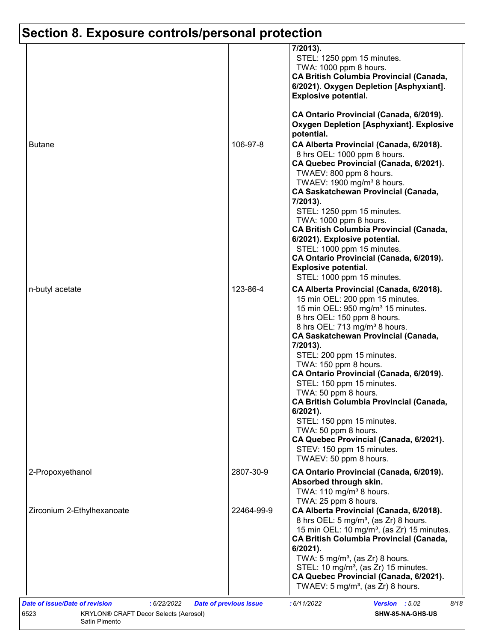|                            |            | 7/2013).<br>STEL: 1250 ppm 15 minutes.<br>TWA: 1000 ppm 8 hours.<br><b>CA British Columbia Provincial (Canada,</b><br>6/2021). Oxygen Depletion [Asphyxiant].<br><b>Explosive potential.</b>                                                                                                                                                                                                                                                                                                                                                                                                                                                   |
|----------------------------|------------|------------------------------------------------------------------------------------------------------------------------------------------------------------------------------------------------------------------------------------------------------------------------------------------------------------------------------------------------------------------------------------------------------------------------------------------------------------------------------------------------------------------------------------------------------------------------------------------------------------------------------------------------|
|                            |            | CA Ontario Provincial (Canada, 6/2019).<br><b>Oxygen Depletion [Asphyxiant]. Explosive</b><br>potential.                                                                                                                                                                                                                                                                                                                                                                                                                                                                                                                                       |
| <b>Butane</b>              | 106-97-8   | CA Alberta Provincial (Canada, 6/2018).<br>8 hrs OEL: 1000 ppm 8 hours.<br>CA Quebec Provincial (Canada, 6/2021).<br>TWAEV: 800 ppm 8 hours.<br>TWAEV: 1900 mg/m <sup>3</sup> 8 hours.<br><b>CA Saskatchewan Provincial (Canada,</b><br>7/2013).<br>STEL: 1250 ppm 15 minutes.<br>TWA: 1000 ppm 8 hours.<br><b>CA British Columbia Provincial (Canada,</b><br>6/2021). Explosive potential.<br>STEL: 1000 ppm 15 minutes.<br>CA Ontario Provincial (Canada, 6/2019).<br><b>Explosive potential.</b><br>STEL: 1000 ppm 15 minutes.                                                                                                              |
| n-butyl acetate            | 123-86-4   | CA Alberta Provincial (Canada, 6/2018).<br>15 min OEL: 200 ppm 15 minutes.<br>15 min OEL: 950 mg/m <sup>3</sup> 15 minutes.<br>8 hrs OEL: 150 ppm 8 hours.<br>8 hrs OEL: 713 mg/m <sup>3</sup> 8 hours.<br><b>CA Saskatchewan Provincial (Canada,</b><br>7/2013).<br>STEL: 200 ppm 15 minutes.<br>TWA: 150 ppm 8 hours.<br>CA Ontario Provincial (Canada, 6/2019).<br>STEL: 150 ppm 15 minutes.<br>TWA: 50 ppm 8 hours.<br><b>CA British Columbia Provincial (Canada,</b><br>$6/2021$ ).<br>STEL: 150 ppm 15 minutes.<br>TWA: 50 ppm 8 hours.<br>CA Quebec Provincial (Canada, 6/2021).<br>STEV: 150 ppm 15 minutes.<br>TWAEV: 50 ppm 8 hours. |
| 2-Propoxyethanol           | 2807-30-9  | CA Ontario Provincial (Canada, 6/2019).<br>Absorbed through skin.<br>TWA: 110 mg/m <sup>3</sup> 8 hours.                                                                                                                                                                                                                                                                                                                                                                                                                                                                                                                                       |
| Zirconium 2-Ethylhexanoate | 22464-99-9 | TWA: 25 ppm 8 hours.<br>CA Alberta Provincial (Canada, 6/2018).<br>8 hrs OEL: 5 mg/m <sup>3</sup> , (as Zr) 8 hours.<br>15 min OEL: 10 mg/m <sup>3</sup> , (as Zr) 15 minutes.<br><b>CA British Columbia Provincial (Canada,</b><br>6/2021).<br>TWA: $5 \text{ mg/m}^3$ , (as Zr) 8 hours.<br>STEL: 10 mg/m <sup>3</sup> , (as Zr) 15 minutes.<br>CA Quebec Provincial (Canada, 6/2021).<br>TWAEV: 5 mg/m <sup>3</sup> , (as $Zr$ ) 8 hours.                                                                                                                                                                                                   |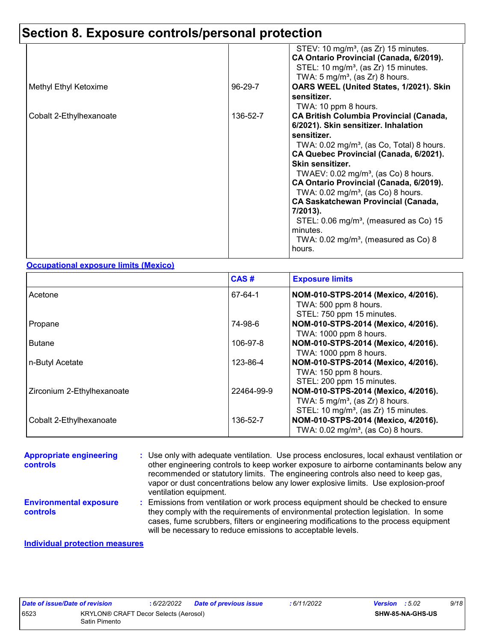|          | STEV: 10 mg/m <sup>3</sup> , (as Zr) 15 minutes.<br>CA Ontario Provincial (Canada, 6/2019).<br>STEL: 10 mg/m <sup>3</sup> , (as Zr) 15 minutes. |
|----------|-------------------------------------------------------------------------------------------------------------------------------------------------|
| 96-29-7  | TWA: 5 mg/m <sup>3</sup> , (as Zr) 8 hours.<br>OARS WEEL (United States, 1/2021). Skin<br>sensitizer.                                           |
| 136-52-7 | TWA: 10 ppm 8 hours.<br><b>CA British Columbia Provincial (Canada,</b><br>6/2021). Skin sensitizer. Inhalation                                  |
|          | sensitizer.<br>TWA: $0.02 \text{ mg/m}^3$ , (as Co, Total) 8 hours.                                                                             |
|          | CA Quebec Provincial (Canada, 6/2021).<br>Skin sensitizer.<br>TWAEV: $0.02 \text{ mg/m}^3$ , (as Co) 8 hours.                                   |
|          | CA Ontario Provincial (Canada, 6/2019).<br>TWA: $0.02$ mg/m <sup>3</sup> , (as Co) 8 hours.<br><b>CA Saskatchewan Provincial (Canada,</b>       |
|          | 7/2013).<br>STEL: $0.06 \text{ mg/m}^3$ , (measured as Co) 15                                                                                   |
|          | minutes.<br>TWA: $0.02 \text{ mg/m}^3$ , (measured as Co) 8<br>hours.                                                                           |
|          |                                                                                                                                                 |

#### **Occupational exposure limits (Mexico)**

|                            | CAS#       | <b>Exposure limits</b>                                                                                                                |
|----------------------------|------------|---------------------------------------------------------------------------------------------------------------------------------------|
| Acetone                    | 67-64-1    | NOM-010-STPS-2014 (Mexico, 4/2016).<br>TWA: 500 ppm 8 hours.<br>STEL: 750 ppm 15 minutes.                                             |
| Propane                    | 74-98-6    | NOM-010-STPS-2014 (Mexico, 4/2016).<br>TWA: 1000 ppm 8 hours.                                                                         |
| <b>Butane</b>              | 106-97-8   | NOM-010-STPS-2014 (Mexico, 4/2016).<br>TWA: 1000 ppm 8 hours.                                                                         |
| n-Butyl Acetate            | 123-86-4   | NOM-010-STPS-2014 (Mexico, 4/2016).<br>TWA: 150 ppm 8 hours.<br>STEL: 200 ppm 15 minutes.                                             |
| Zirconium 2-Ethylhexanoate | 22464-99-9 | NOM-010-STPS-2014 (Mexico, 4/2016).<br>TWA: $5 \text{ mg/m}^3$ , (as Zr) 8 hours.<br>STEL: 10 mg/m <sup>3</sup> , (as Zr) 15 minutes. |
| Cobalt 2-Ethylhexanoate    | 136-52-7   | NOM-010-STPS-2014 (Mexico, 4/2016).<br>TWA: $0.02$ mg/m <sup>3</sup> , (as Co) 8 hours.                                               |

#### Emissions from ventilation or work process equipment should be checked to ensure **:** they comply with the requirements of environmental protection legislation. In some cases, fume scrubbers, filters or engineering modifications to the process equipment **Appropriate engineering controls :** Use only with adequate ventilation. Use process enclosures, local exhaust ventilation or other engineering controls to keep worker exposure to airborne contaminants below any recommended or statutory limits. The engineering controls also need to keep gas, vapor or dust concentrations below any lower explosive limits. Use explosion-proof ventilation equipment. **Environmental exposure controls**

will be necessary to reduce emissions to acceptable levels.

#### **Individual protection measures**

| Date of issue/Date of revision |                                       | : 6/22/2022 | Date of previous issue | : 6/11/2022 | <b>Version</b> : 5.02 |                         | 9/18 |
|--------------------------------|---------------------------------------|-------------|------------------------|-------------|-----------------------|-------------------------|------|
| 6523                           | KRYLON® CRAFT Decor Selects (Aerosol) |             |                        |             |                       | <b>SHW-85-NA-GHS-US</b> |      |
|                                | Satin Pimento                         |             |                        |             |                       |                         |      |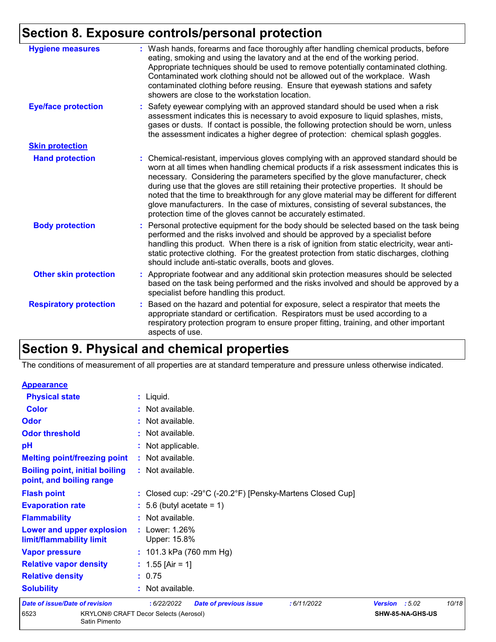| <b>Hygiene measures</b>       | : Wash hands, forearms and face thoroughly after handling chemical products, before<br>eating, smoking and using the lavatory and at the end of the working period.<br>Appropriate techniques should be used to remove potentially contaminated clothing.<br>Contaminated work clothing should not be allowed out of the workplace. Wash<br>contaminated clothing before reusing. Ensure that eyewash stations and safety<br>showers are close to the workstation location.                                                                                                                                            |
|-------------------------------|------------------------------------------------------------------------------------------------------------------------------------------------------------------------------------------------------------------------------------------------------------------------------------------------------------------------------------------------------------------------------------------------------------------------------------------------------------------------------------------------------------------------------------------------------------------------------------------------------------------------|
| <b>Eye/face protection</b>    | : Safety eyewear complying with an approved standard should be used when a risk<br>assessment indicates this is necessary to avoid exposure to liquid splashes, mists,<br>gases or dusts. If contact is possible, the following protection should be worn, unless<br>the assessment indicates a higher degree of protection: chemical splash goggles.                                                                                                                                                                                                                                                                  |
| <b>Skin protection</b>        |                                                                                                                                                                                                                                                                                                                                                                                                                                                                                                                                                                                                                        |
| <b>Hand protection</b>        | : Chemical-resistant, impervious gloves complying with an approved standard should be<br>worn at all times when handling chemical products if a risk assessment indicates this is<br>necessary. Considering the parameters specified by the glove manufacturer, check<br>during use that the gloves are still retaining their protective properties. It should be<br>noted that the time to breakthrough for any glove material may be different for different<br>glove manufacturers. In the case of mixtures, consisting of several substances, the<br>protection time of the gloves cannot be accurately estimated. |
| <b>Body protection</b>        | : Personal protective equipment for the body should be selected based on the task being<br>performed and the risks involved and should be approved by a specialist before<br>handling this product. When there is a risk of ignition from static electricity, wear anti-<br>static protective clothing. For the greatest protection from static discharges, clothing<br>should include anti-static overalls, boots and gloves.                                                                                                                                                                                         |
| <b>Other skin protection</b>  | : Appropriate footwear and any additional skin protection measures should be selected<br>based on the task being performed and the risks involved and should be approved by a<br>specialist before handling this product.                                                                                                                                                                                                                                                                                                                                                                                              |
| <b>Respiratory protection</b> | : Based on the hazard and potential for exposure, select a respirator that meets the<br>appropriate standard or certification. Respirators must be used according to a<br>respiratory protection program to ensure proper fitting, training, and other important<br>aspects of use.                                                                                                                                                                                                                                                                                                                                    |

### **Section 9. Physical and chemical properties**

The conditions of measurement of all properties are at standard temperature and pressure unless otherwise indicated.

| <b>Appearance</b>                                                 |                                                                                 |                |                  |       |
|-------------------------------------------------------------------|---------------------------------------------------------------------------------|----------------|------------------|-------|
| <b>Physical state</b>                                             | $:$ Liquid.                                                                     |                |                  |       |
| <b>Color</b>                                                      | : Not available.                                                                |                |                  |       |
| <b>Odor</b>                                                       | : Not available.                                                                |                |                  |       |
| <b>Odor threshold</b>                                             | : Not available.                                                                |                |                  |       |
| pH                                                                | : Not applicable.                                                               |                |                  |       |
| <b>Melting point/freezing point</b>                               | : Not available.                                                                |                |                  |       |
| <b>Boiling point, initial boiling</b><br>point, and boiling range | : Not available.                                                                |                |                  |       |
| <b>Flash point</b>                                                | : Closed cup: -29 $^{\circ}$ C (-20.2 $^{\circ}$ F) [Pensky-Martens Closed Cup] |                |                  |       |
| <b>Evaporation rate</b>                                           | $: 5.6$ (butyl acetate = 1)                                                     |                |                  |       |
| <b>Flammability</b>                                               | : Not available.                                                                |                |                  |       |
| Lower and upper explosion<br>limit/flammability limit             | : Lower: 1.26%<br>Upper: 15.8%                                                  |                |                  |       |
| <b>Vapor pressure</b>                                             | : $101.3$ kPa (760 mm Hg)                                                       |                |                  |       |
| <b>Relative vapor density</b>                                     | : $1.55$ [Air = 1]                                                              |                |                  |       |
| <b>Relative density</b>                                           | : 0.75                                                                          |                |                  |       |
| <b>Solubility</b>                                                 | : Not available.                                                                |                |                  |       |
| Date of issue/Date of revision                                    | : 6/22/2022<br><b>Date of previous issue</b><br>:6/11/2022                      | Version : 5.02 |                  | 10/18 |
| 6523<br>Satin Pimento                                             | <b>KRYLON® CRAFT Decor Selects (Aerosol)</b>                                    |                | SHW-85-NA-GHS-US |       |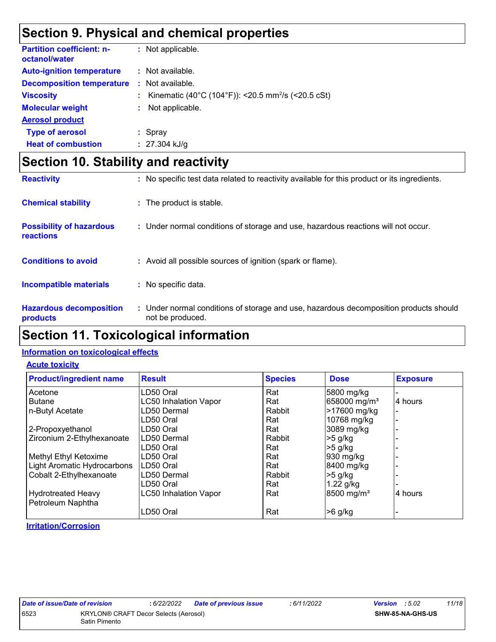### **Section 9. Physical and chemical properties**

| <b>Partition coefficient: n-</b><br>octanol/water |    | : Not applicable.                                              |
|---------------------------------------------------|----|----------------------------------------------------------------|
| <b>Auto-ignition temperature</b>                  |    | : Not available.                                               |
| <b>Decomposition temperature</b>                  | ÷. | Not available.                                                 |
| <b>Viscosity</b>                                  |    | Kinematic (40°C (104°F)): <20.5 mm <sup>2</sup> /s (<20.5 cSt) |
| <b>Molecular weight</b>                           | ÷. | Not applicable.                                                |
| <b>Aerosol product</b>                            |    |                                                                |
| <b>Type of aerosol</b>                            |    | $:$ Spray                                                      |
| <b>Heat of combustion</b>                         |    | $: 27.304$ kJ/g                                                |

### **Section 10. Stability and reactivity**

| <b>Reactivity</b>                            | : No specific test data related to reactivity available for this product or its ingredients.              |
|----------------------------------------------|-----------------------------------------------------------------------------------------------------------|
| <b>Chemical stability</b>                    | : The product is stable.                                                                                  |
| <b>Possibility of hazardous</b><br>reactions | : Under normal conditions of storage and use, hazardous reactions will not occur.                         |
| <b>Conditions to avoid</b>                   | : Avoid all possible sources of ignition (spark or flame).                                                |
| <b>Incompatible materials</b>                | No specific data.<br>÷.                                                                                   |
| <b>Hazardous decomposition</b><br>products   | : Under normal conditions of storage and use, hazardous decomposition products should<br>not be produced. |

### **Section 11. Toxicological information**

#### **Information on toxicological effects**

#### **Acute toxicity**

| <b>Product/ingredient name</b> | <b>Result</b>                | <b>Species</b> | <b>Dose</b>              | <b>Exposure</b> |
|--------------------------------|------------------------------|----------------|--------------------------|-----------------|
| Acetone                        | LD50 Oral                    | Rat            | 5800 mg/kg               |                 |
| <b>Butane</b>                  | <b>LC50 Inhalation Vapor</b> | Rat            | 658000 mg/m <sup>3</sup> | 4 hours         |
| n-Butyl Acetate                | LD50 Dermal                  | Rabbit         | >17600 mg/kg             |                 |
|                                | LD50 Oral                    | Rat            | 10768 mg/kg              |                 |
| 2-Propoxyethanol               | LD50 Oral                    | Rat            | 3089 mg/kg               |                 |
| Zirconium 2-Ethylhexanoate     | ILD50 Dermal                 | Rabbit         | $>5$ g/kg                |                 |
|                                | LD50 Oral                    | Rat            | -5 g/kg                  |                 |
| Methyl Ethyl Ketoxime          | LD50 Oral                    | Rat            | 930 mg/kg                |                 |
| Light Aromatic Hydrocarbons    | LD50 Oral                    | Rat            | 8400 mg/kg               |                 |
| Cobalt 2-Ethylhexanoate        | LD50 Dermal                  | Rabbit         | $>5$ g/kg                |                 |
|                                | LD50 Oral                    | Rat            | $1.22$ g/kg              |                 |
| <b>Hydrotreated Heavy</b>      | <b>LC50 Inhalation Vapor</b> | Rat            | $8500$ mg/m <sup>3</sup> | 4 hours         |
| Petroleum Naphtha              |                              |                |                          |                 |
|                                | LD50 Oral                    | Rat            | $>6$ g/kg                |                 |

**Irritation/Corrosion**

*Date of issue/Date of revision* **:** *6/22/2022 Date of previous issue : 6/11/2022 Version : 5.02 11/18*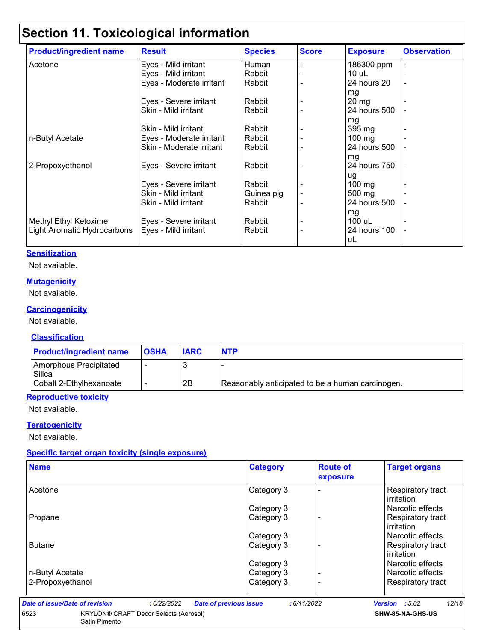## **Section 11. Toxicological information**

| <b>Product/ingredient name</b> | <b>Result</b>            | <b>Species</b> | <b>Score</b> | <b>Exposure</b>  | <b>Observation</b> |
|--------------------------------|--------------------------|----------------|--------------|------------------|--------------------|
| Acetone                        | Eyes - Mild irritant     | Human          |              | 186300 ppm       |                    |
|                                | Eyes - Mild irritant     | Rabbit         |              | $10$ uL          |                    |
|                                | Eyes - Moderate irritant | Rabbit         |              | 24 hours 20      |                    |
|                                |                          |                |              | mg               |                    |
|                                | Eyes - Severe irritant   | Rabbit         |              | $20 \, mg$       |                    |
|                                | Skin - Mild irritant     | Rabbit         |              | 24 hours 500     |                    |
|                                |                          |                |              | mg               |                    |
|                                | Skin - Mild irritant     | Rabbit         |              | 395 mg           |                    |
| n-Butyl Acetate                | Eyes - Moderate irritant | Rabbit         |              | $100$ mg         |                    |
|                                | Skin - Moderate irritant | Rabbit         |              | 24 hours 500     |                    |
|                                |                          |                |              | mg               |                    |
| 2-Propoxyethanol               | Eyes - Severe irritant   | Rabbit         |              | 24 hours 750     |                    |
|                                |                          |                |              | ug               |                    |
|                                | Eyes - Severe irritant   | Rabbit         |              | $100 \text{ mg}$ |                    |
|                                | Skin - Mild irritant     | Guinea pig     |              | 500 mg           |                    |
|                                | Skin - Mild irritant     | Rabbit         |              | 24 hours 500     |                    |
|                                |                          |                |              | mg               |                    |
| Methyl Ethyl Ketoxime          | Eyes - Severe irritant   | Rabbit         |              | 100 uL           |                    |
| Light Aromatic Hydrocarbons    | Eyes - Mild irritant     | Rabbit         |              | 24 hours 100     |                    |
|                                |                          |                |              | uL               |                    |

#### **Sensitization**

Not available.

#### **Mutagenicity**

Not available.

#### **Carcinogenicity**

Not available.

#### **Classification**

| <b>Product/ingredient name</b>   | <b>OSHA</b> | <b>IARC</b> | <b>NTP</b>                                       |
|----------------------------------|-------------|-------------|--------------------------------------------------|
| Amorphous Precipitated<br>Silica |             |             |                                                  |
| Cobalt 2-Ethylhexanoate          |             | 2B          | Reasonably anticipated to be a human carcinogen. |

#### **Reproductive toxicity**

Not available.

#### **Teratogenicity**

Not available.

#### **Specific target organ toxicity (single exposure)**

Satin Pimento

| <b>Name</b>      | <b>Category</b> | <b>Route of</b><br>exposure | <b>Target organs</b>                   |
|------------------|-----------------|-----------------------------|----------------------------------------|
| Acetone          | Category 3      |                             | Respiratory tract<br>irritation        |
|                  | Category 3      |                             | Narcotic effects                       |
| Propane          | Category 3      |                             | Respiratory tract<br>irritation        |
|                  | Category 3      |                             | l Narcotic effects                     |
| <b>Butane</b>    | Category 3      |                             | Respiratory tract<br><b>irritation</b> |
|                  | Category 3      |                             | Narcotic effects                       |
| n-Butyl Acetate  | Category 3      |                             | Narcotic effects                       |
| 2-Propoxyethanol | Category 3      |                             | <b>Respiratory tract</b>               |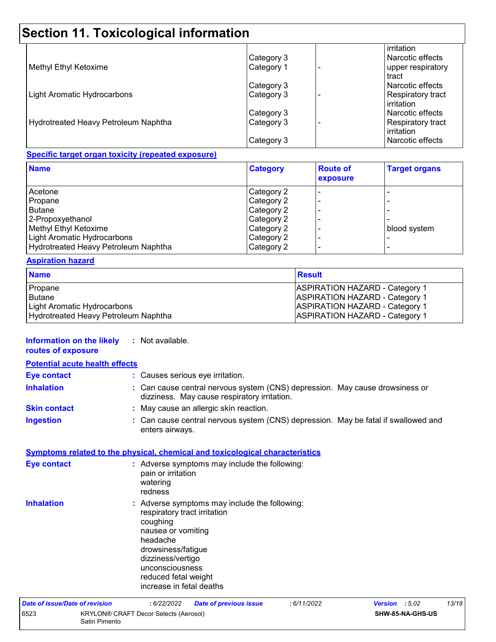## **Section 11. Toxicological information**

|                                      |            | irritation               |
|--------------------------------------|------------|--------------------------|
|                                      | Category 3 | Narcotic effects         |
| Methyl Ethyl Ketoxime                | Category 1 | upper respiratory        |
|                                      |            | tract                    |
|                                      | Category 3 | Narcotic effects         |
| Light Aromatic Hydrocarbons          | Category 3 | <b>Respiratory tract</b> |
|                                      |            | <b>irritation</b>        |
|                                      | Category 3 | Narcotic effects         |
| Hydrotreated Heavy Petroleum Naphtha | Category 3 | <b>Respiratory tract</b> |
|                                      |            | irritation               |
|                                      | Category 3 | Narcotic effects         |

#### **Specific target organ toxicity (repeated exposure)**

| <b>Category</b> | <b>Route of</b><br>exposure | <b>Target organs</b> |
|-----------------|-----------------------------|----------------------|
| Category 2      |                             |                      |
| Category 2      |                             |                      |
| Category 2      |                             |                      |
| Category 2      |                             |                      |
| Category 2      |                             | blood system         |
| Category 2      |                             |                      |
| Category 2      |                             |                      |
|                 |                             |                      |

#### **Aspiration hazard**

| <b>Name</b>                          | <b>Result</b>                         |
|--------------------------------------|---------------------------------------|
| Propane                              | <b>ASPIRATION HAZARD - Category 1</b> |
| l Butane                             | <b>ASPIRATION HAZARD - Category 1</b> |
| Light Aromatic Hydrocarbons          | <b>ASPIRATION HAZARD - Category 1</b> |
| Hydrotreated Heavy Petroleum Naphtha | <b>ASPIRATION HAZARD - Category 1</b> |

| <b>Information on the likely</b><br>routes of exposure |               | : Not available.                                                                                                                                                                                                                              |                               |             |                |                  |       |
|--------------------------------------------------------|---------------|-----------------------------------------------------------------------------------------------------------------------------------------------------------------------------------------------------------------------------------------------|-------------------------------|-------------|----------------|------------------|-------|
| <b>Potential acute health effects</b>                  |               |                                                                                                                                                                                                                                               |                               |             |                |                  |       |
| <b>Eye contact</b>                                     |               | : Causes serious eye irritation.                                                                                                                                                                                                              |                               |             |                |                  |       |
| <b>Inhalation</b>                                      |               | : Can cause central nervous system (CNS) depression. May cause drowsiness or<br>dizziness. May cause respiratory irritation.                                                                                                                  |                               |             |                |                  |       |
| <b>Skin contact</b>                                    |               | : May cause an allergic skin reaction.                                                                                                                                                                                                        |                               |             |                |                  |       |
| <b>Ingestion</b>                                       |               | : Can cause central nervous system (CNS) depression. May be fatal if swallowed and<br>enters airways.                                                                                                                                         |                               |             |                |                  |       |
|                                                        |               | Symptoms related to the physical, chemical and toxicological characteristics                                                                                                                                                                  |                               |             |                |                  |       |
| Eye contact                                            |               | : Adverse symptoms may include the following:<br>pain or irritation<br>watering<br>redness                                                                                                                                                    |                               |             |                |                  |       |
| <b>Inhalation</b>                                      |               | : Adverse symptoms may include the following:<br>respiratory tract irritation<br>coughing<br>nausea or vomiting<br>headache<br>drowsiness/fatigue<br>dizziness/vertigo<br>unconsciousness<br>reduced fetal weight<br>increase in fetal deaths |                               |             |                |                  |       |
| Date of issue/Date of revision                         |               | : 6/22/2022                                                                                                                                                                                                                                   | <b>Date of previous issue</b> | : 6/11/2022 | Version : 5.02 |                  | 13/18 |
| 6523                                                   | Satin Pimento | KRYLON® CRAFT Decor Selects (Aerosol)                                                                                                                                                                                                         |                               |             |                | SHW-85-NA-GHS-US |       |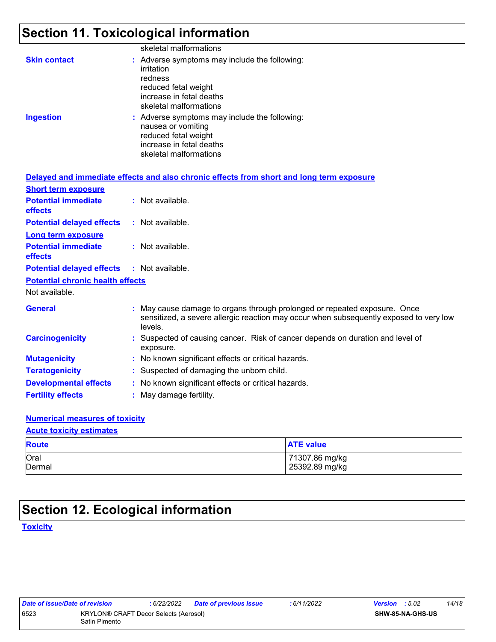### **Section 11. Toxicological information**

|                     | skeletal malformations                                                                                                                               |
|---------------------|------------------------------------------------------------------------------------------------------------------------------------------------------|
| <b>Skin contact</b> | : Adverse symptoms may include the following:<br>irritation<br>redness<br>reduced fetal weight<br>increase in fetal deaths<br>skeletal malformations |
| <b>Ingestion</b>    | : Adverse symptoms may include the following:<br>nausea or vomiting<br>reduced fetal weight<br>increase in fetal deaths<br>skeletal malformations    |

|                                                   | Delayed and immediate effects and also chronic effects from short and long term exposure                                                                                       |
|---------------------------------------------------|--------------------------------------------------------------------------------------------------------------------------------------------------------------------------------|
| <b>Short term exposure</b>                        |                                                                                                                                                                                |
| <b>Potential immediate</b><br><b>effects</b>      | : Not available.                                                                                                                                                               |
| <b>Potential delayed effects</b>                  | : Not available.                                                                                                                                                               |
| <b>Long term exposure</b>                         |                                                                                                                                                                                |
| <b>Potential immediate</b><br><b>effects</b>      | : Not available.                                                                                                                                                               |
| <b>Potential delayed effects : Not available.</b> |                                                                                                                                                                                |
| <b>Potential chronic health effects</b>           |                                                                                                                                                                                |
| Not available.                                    |                                                                                                                                                                                |
| <b>General</b>                                    | : May cause damage to organs through prolonged or repeated exposure. Once<br>sensitized, a severe allergic reaction may occur when subsequently exposed to very low<br>levels. |
| <b>Carcinogenicity</b>                            | : Suspected of causing cancer. Risk of cancer depends on duration and level of<br>exposure.                                                                                    |
| <b>Mutagenicity</b>                               | : No known significant effects or critical hazards.                                                                                                                            |
| <b>Teratogenicity</b>                             | : Suspected of damaging the unborn child.                                                                                                                                      |
| <b>Developmental effects</b>                      | : No known significant effects or critical hazards.                                                                                                                            |
| <b>Fertility effects</b>                          | : May damage fertility.                                                                                                                                                        |

#### **Numerical measures of toxicity**

#### **Acute toxicity estimates**

| <b>Route</b> | <b>ATE value</b> |
|--------------|------------------|
| Oral         | 71307.86 mg/kg   |
| Dermal       | 25392.89 mg/kg   |

### **Section 12. Ecological information**

**Toxicity**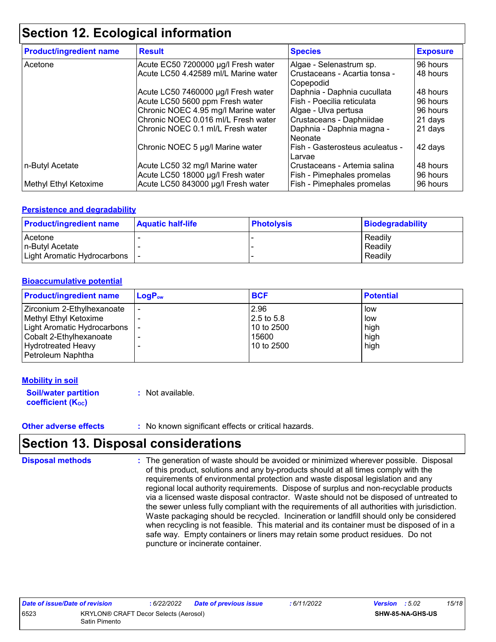### **Section 12. Ecological information**

| <b>Product/ingredient name</b> | <b>Result</b>                                                        | <b>Species</b>                                             | <b>Exposure</b>      |
|--------------------------------|----------------------------------------------------------------------|------------------------------------------------------------|----------------------|
| Acetone                        | Acute EC50 7200000 µg/l Fresh water                                  | Algae - Selenastrum sp.                                    | 96 hours             |
|                                | Acute LC50 4.42589 ml/L Marine water                                 | Crustaceans - Acartia tonsa -<br>Copepodid                 | 48 hours             |
|                                | Acute LC50 7460000 µg/l Fresh water                                  | Daphnia - Daphnia cucullata                                | 48 hours             |
|                                | Acute LC50 5600 ppm Fresh water                                      | Fish - Poecilia reticulata                                 | 96 hours             |
|                                | Chronic NOEC 4.95 mg/l Marine water                                  | Algae - Ulva pertusa                                       | 96 hours             |
|                                | Chronic NOEC 0.016 ml/L Fresh water                                  | Crustaceans - Daphniidae                                   | 21 days              |
|                                | Chronic NOEC 0.1 ml/L Fresh water                                    | Daphnia - Daphnia magna -<br>Neonate                       | 21 days              |
|                                | Chronic NOEC 5 µg/l Marine water                                     | Fish - Gasterosteus aculeatus -<br>Larvae                  | 42 days              |
| n-Butyl Acetate                | Acute LC50 32 mg/l Marine water<br>Acute LC50 18000 µg/l Fresh water | Crustaceans - Artemia salina<br>Fish - Pimephales promelas | 48 hours<br>96 hours |
| Methyl Ethyl Ketoxime          | Acute LC50 843000 µg/l Fresh water                                   | Fish - Pimephales promelas                                 | 96 hours             |

#### **Persistence and degradability**

| <b>Product/ingredient name</b>  | <b>Aquatic half-life</b> | <b>Photolysis</b> | Biodegradability |
|---------------------------------|--------------------------|-------------------|------------------|
| Acetone                         |                          |                   | Readily          |
| In-Butyl Acetate                |                          |                   | Readily          |
| Light Aromatic Hydrocarbons   - |                          |                   | Readily          |

#### **Bioaccumulative potential**

| <b>Product/ingredient name</b> | $\mathsf{LogP}_\mathsf{ow}$ | <b>BCF</b> | <b>Potential</b> |
|--------------------------------|-----------------------------|------------|------------------|
| Zirconium 2-Ethylhexanoate     |                             | 2.96       | low              |
| Methyl Ethyl Ketoxime          |                             | 2.5 to 5.8 | low              |
| Light Aromatic Hydrocarbons    |                             | 10 to 2500 | high             |
| Cobalt 2-Ethylhexanoate        |                             | 15600      | high             |
| <b>Hydrotreated Heavy</b>      |                             | 10 to 2500 | high             |
| Petroleum Naphtha              |                             |            |                  |

#### **Mobility in soil**

| <b>Soil/water partition</b> | : Not available. |
|-----------------------------|------------------|
| <b>coefficient (Koc)</b>    |                  |

#### **Other adverse effects** : No known significant effects or critical hazards.

### **Section 13. Disposal considerations**

The generation of waste should be avoided or minimized wherever possible. Disposal of this product, solutions and any by-products should at all times comply with the requirements of environmental protection and waste disposal legislation and any regional local authority requirements. Dispose of surplus and non-recyclable products via a licensed waste disposal contractor. Waste should not be disposed of untreated to the sewer unless fully compliant with the requirements of all authorities with jurisdiction. Waste packaging should be recycled. Incineration or landfill should only be considered when recycling is not feasible. This material and its container must be disposed of in a safe way. Empty containers or liners may retain some product residues. Do not puncture or incinerate container. **Disposal methods :**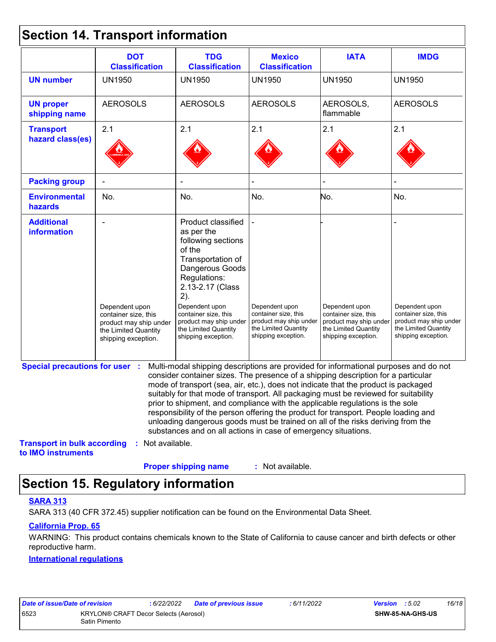### **Section 14. Transport information**

|                                                          | <b>DOT</b><br><b>Classification</b>                                                                             | <b>TDG</b><br><b>Classification</b>                                                                                                                                                                                                                                                                                                                                                                                                                                                                                                                                                                                                                                                 | <b>Mexico</b><br><b>Classification</b>                                                                          | <b>IATA</b>                                                                                                     | <b>IMDG</b>                                                                                                     |
|----------------------------------------------------------|-----------------------------------------------------------------------------------------------------------------|-------------------------------------------------------------------------------------------------------------------------------------------------------------------------------------------------------------------------------------------------------------------------------------------------------------------------------------------------------------------------------------------------------------------------------------------------------------------------------------------------------------------------------------------------------------------------------------------------------------------------------------------------------------------------------------|-----------------------------------------------------------------------------------------------------------------|-----------------------------------------------------------------------------------------------------------------|-----------------------------------------------------------------------------------------------------------------|
| <b>UN number</b>                                         | <b>UN1950</b>                                                                                                   | <b>UN1950</b>                                                                                                                                                                                                                                                                                                                                                                                                                                                                                                                                                                                                                                                                       | <b>UN1950</b>                                                                                                   | <b>UN1950</b>                                                                                                   | <b>UN1950</b>                                                                                                   |
| <b>UN proper</b><br>shipping name                        | <b>AEROSOLS</b>                                                                                                 | <b>AEROSOLS</b>                                                                                                                                                                                                                                                                                                                                                                                                                                                                                                                                                                                                                                                                     | <b>AEROSOLS</b>                                                                                                 | AEROSOLS,<br>flammable                                                                                          | <b>AEROSOLS</b>                                                                                                 |
| <b>Transport</b>                                         | 2.1                                                                                                             | 2.1                                                                                                                                                                                                                                                                                                                                                                                                                                                                                                                                                                                                                                                                                 | 2.1                                                                                                             | 2.1                                                                                                             | 2.1                                                                                                             |
| hazard class(es)                                         |                                                                                                                 |                                                                                                                                                                                                                                                                                                                                                                                                                                                                                                                                                                                                                                                                                     |                                                                                                                 |                                                                                                                 |                                                                                                                 |
| <b>Packing group</b>                                     |                                                                                                                 |                                                                                                                                                                                                                                                                                                                                                                                                                                                                                                                                                                                                                                                                                     |                                                                                                                 |                                                                                                                 |                                                                                                                 |
| <b>Environmental</b><br>hazards                          | No.                                                                                                             | No.                                                                                                                                                                                                                                                                                                                                                                                                                                                                                                                                                                                                                                                                                 | No.                                                                                                             | No.                                                                                                             | No.                                                                                                             |
| <b>Additional</b><br>information                         | Dependent upon<br>container size, this<br>product may ship under<br>the Limited Quantity<br>shipping exception. | Product classified<br>as per the<br>following sections<br>of the<br>Transportation of<br>Dangerous Goods<br>Regulations:<br>2.13-2.17 (Class<br>2).<br>Dependent upon<br>container size, this<br>product may ship under<br>the Limited Quantity<br>shipping exception.                                                                                                                                                                                                                                                                                                                                                                                                              | Dependent upon<br>container size, this<br>product may ship under<br>the Limited Quantity<br>shipping exception. | Dependent upon<br>container size, this<br>product may ship under<br>the Limited Quantity<br>shipping exception. | Dependent upon<br>container size, this<br>product may ship under<br>the Limited Quantity<br>shipping exception. |
| <b>Special precautions for user :</b>                    |                                                                                                                 | Multi-modal shipping descriptions are provided for informational purposes and do not<br>consider container sizes. The presence of a shipping description for a particular<br>mode of transport (sea, air, etc.), does not indicate that the product is packaged<br>suitably for that mode of transport. All packaging must be reviewed for suitability<br>prior to shipment, and compliance with the applicable regulations is the sole<br>responsibility of the person offering the product for transport. People loading and<br>unloading dangerous goods must be trained on all of the risks deriving from the<br>substances and on all actions in case of emergency situations. |                                                                                                                 |                                                                                                                 |                                                                                                                 |
| <b>Transport in bulk according</b><br>to IMO instruments | : Not available.                                                                                                |                                                                                                                                                                                                                                                                                                                                                                                                                                                                                                                                                                                                                                                                                     |                                                                                                                 |                                                                                                                 |                                                                                                                 |
|                                                          |                                                                                                                 | <b>Proper shipping name</b>                                                                                                                                                                                                                                                                                                                                                                                                                                                                                                                                                                                                                                                         | : Not available.                                                                                                |                                                                                                                 |                                                                                                                 |

### **Section 15. Regulatory information**

#### **SARA 313**

SARA 313 (40 CFR 372.45) supplier notification can be found on the Environmental Data Sheet.

#### **California Prop. 65**

WARNING: This product contains chemicals known to the State of California to cause cancer and birth defects or other reproductive harm.

#### **International regulations**

| Date of issue/Date of revision |                                                        | : 6/22/2022 Date of previous issue | : 6/11/2022 | <b>Version</b> : $5.02$ |                         | 16/18 |
|--------------------------------|--------------------------------------------------------|------------------------------------|-------------|-------------------------|-------------------------|-------|
| 6523                           | KRYLON® CRAFT Decor Selects (Aerosol)<br>Satin Pimento |                                    |             |                         | <b>SHW-85-NA-GHS-US</b> |       |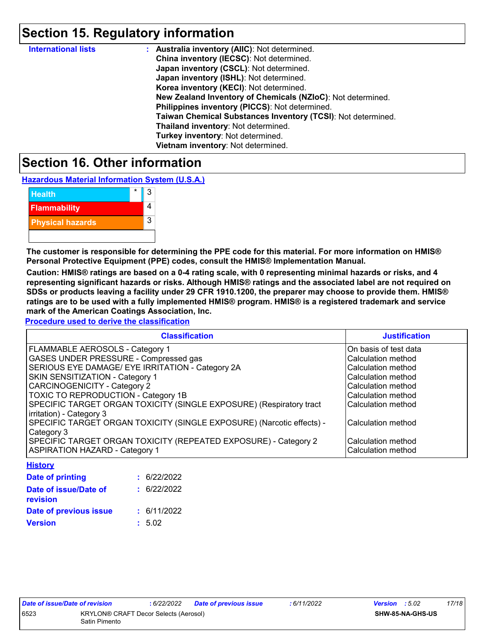### **Section 15. Regulatory information**

| <b>International lists</b> | : Australia inventory (AIIC): Not determined.                |
|----------------------------|--------------------------------------------------------------|
|                            | China inventory (IECSC): Not determined.                     |
|                            | Japan inventory (CSCL): Not determined.                      |
|                            | Japan inventory (ISHL): Not determined.                      |
|                            | Korea inventory (KECI): Not determined.                      |
|                            | New Zealand Inventory of Chemicals (NZIoC): Not determined.  |
|                            | Philippines inventory (PICCS): Not determined.               |
|                            | Taiwan Chemical Substances Inventory (TCSI): Not determined. |
|                            | Thailand inventory: Not determined.                          |
|                            | Turkey inventory: Not determined.                            |
|                            | Vietnam inventory: Not determined.                           |

### **Section 16. Other information**

**Hazardous Material Information System (U.S.A.)**

| <b>Health</b>           | 3 |
|-------------------------|---|
| <b>Flammability</b>     |   |
| <b>Physical hazards</b> | 3 |
|                         |   |

**The customer is responsible for determining the PPE code for this material. For more information on HMIS® Personal Protective Equipment (PPE) codes, consult the HMIS® Implementation Manual.**

**Caution: HMIS® ratings are based on a 0-4 rating scale, with 0 representing minimal hazards or risks, and 4 representing significant hazards or risks. Although HMIS® ratings and the associated label are not required on SDSs or products leaving a facility under 29 CFR 1910.1200, the preparer may choose to provide them. HMIS® ratings are to be used with a fully implemented HMIS® program. HMIS® is a registered trademark and service mark of the American Coatings Association, Inc.**

**Procedure used to derive the classification**

| <b>Classification</b>                                                 | <b>Justification</b>   |
|-----------------------------------------------------------------------|------------------------|
| FLAMMABLE AEROSOLS - Category 1                                       | IOn basis of test data |
| GASES UNDER PRESSURE - Compressed gas                                 | Calculation method     |
| SERIOUS EYE DAMAGE/ EYE IRRITATION - Category 2A                      | Calculation method     |
| <b>SKIN SENSITIZATION - Category 1</b>                                | Calculation method     |
| <b>CARCINOGENICITY - Category 2</b>                                   | Calculation method     |
| <b>TOXIC TO REPRODUCTION - Category 1B</b>                            | Calculation method     |
| SPECIFIC TARGET ORGAN TOXICITY (SINGLE EXPOSURE) (Respiratory tract   | Calculation method     |
| irritation) - Category 3                                              |                        |
| SPECIFIC TARGET ORGAN TOXICITY (SINGLE EXPOSURE) (Narcotic effects) - | Calculation method     |
| Category 3                                                            |                        |
| SPECIFIC TARGET ORGAN TOXICITY (REPEATED EXPOSURE) - Category 2       | Calculation method     |
| <b>ASPIRATION HAZARD - Category 1</b>                                 | Calculation method     |

| : 6/22/2022 |
|-------------|
| : 6/22/2022 |
| : 6/11/2022 |
| : 5.02      |
|             |